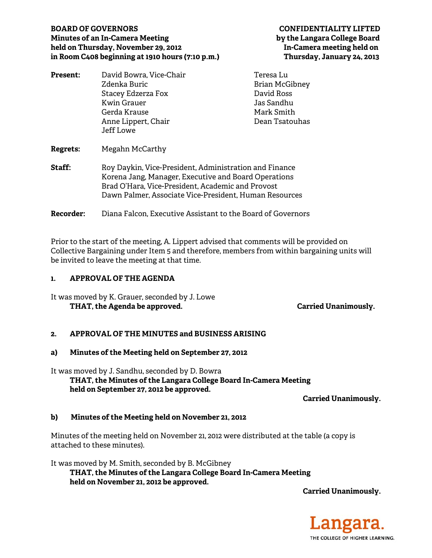# **BOARD OF GOVERNORS CONFIDENTIALITY LIFTED Minutes of an In-Camera Meeting by the Langara College Board held on Thursday, November 29, 2012 In-Camera meeting held on in Room C408 beginning at 1910 hours (7:10 p.m.) Thursday, January 24, 2013**

| David Bowra, Vice-Chair                                                                                                                                                                                                       | Teresa Lu      |
|-------------------------------------------------------------------------------------------------------------------------------------------------------------------------------------------------------------------------------|----------------|
| Zdenka Buric                                                                                                                                                                                                                  | Brian McGibney |
| Stacey Edzerza Fox                                                                                                                                                                                                            | David Ross     |
| <b>Kwin Grauer</b>                                                                                                                                                                                                            | Jas Sandhu     |
| Gerda Krause                                                                                                                                                                                                                  | Mark Smith     |
| Anne Lippert, Chair                                                                                                                                                                                                           | Dean Tsatouhas |
| Jeff Lowe                                                                                                                                                                                                                     |                |
| Megahn McCarthy                                                                                                                                                                                                               |                |
| Roy Daykin, Vice-President, Administration and Finance<br>Korena Jang, Manager, Executive and Board Operations<br>Brad O'Hara, Vice-President, Academic and Provost<br>Dawn Palmer, Associate Vice-President, Human Resources |                |
|                                                                                                                                                                                                                               |                |

**Recorder:** Diana Falcon, Executive Assistant to the Board of Governors

Prior to the start of the meeting, A. Lippert advised that comments will be provided on Collective Bargaining under Item 5 and therefore, members from within bargaining units will

# **1. APPROVAL OF THE AGENDA**

It was moved by K. Grauer, seconded by J. Lowe THAT, the Agenda be approved. **Carried Unanimously.** Carried Unanimously.

be invited to leave the meeting at that time.

# **2. APPROVAL OF THE MINUTES and BUSINESS ARISING**

#### **a) Minutes of the Meeting held on September 27, 2012**

It was moved by J. Sandhu, seconded by D. Bowra  **THAT, the Minutes of the Langara College Board In-Camera Meeting held on September 27, 2012 be approved.** 

**Carried Unanimously.** 

# **b) Minutes of the Meeting held on November 21, 2012**

Minutes of the meeting held on November 21, 2012 were distributed at the table (a copy is attached to these minutes).

It was moved by M. Smith, seconded by B. McGibney  **THAT, the Minutes of the Langara College Board In-Camera Meeting held on November 21, 2012 be approved.** 

**Carried Unanimously.** 

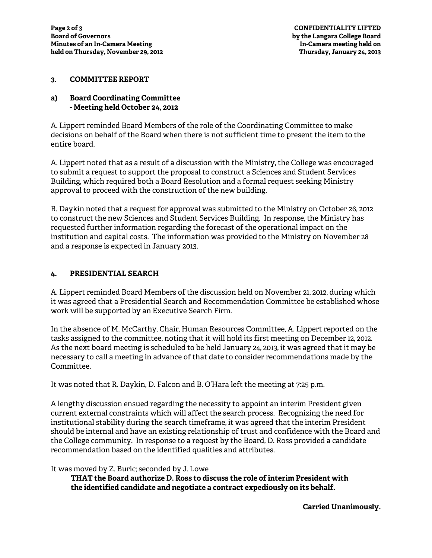### **3. COMMITTEE REPORT**

# **a) Board Coordinating Committee - Meeting held October 24, 2012**

A. Lippert reminded Board Members of the role of the Coordinating Committee to make decisions on behalf of the Board when there is not sufficient time to present the item to the entire board.

A. Lippert noted that as a result of a discussion with the Ministry, the College was encouraged to submit a request to support the proposal to construct a Sciences and Student Services Building, which required both a Board Resolution and a formal request seeking Ministry approval to proceed with the construction of the new building.

R. Daykin noted that a request for approval was submitted to the Ministry on October 26, 2012 to construct the new Sciences and Student Services Building. In response, the Ministry has requested further information regarding the forecast of the operational impact on the institution and capital costs. The information was provided to the Ministry on November 28 and a response is expected in January 2013.

#### **4. PRESIDENTIAL SEARCH**

A. Lippert reminded Board Members of the discussion held on November 21, 2012, during which it was agreed that a Presidential Search and Recommendation Committee be established whose work will be supported by an Executive Search Firm.

In the absence of M. McCarthy, Chair, Human Resources Committee, A. Lippert reported on the tasks assigned to the committee, noting that it will hold its first meeting on December 12, 2012. As the next board meeting is scheduled to be held January 24, 2013, it was agreed that it may be necessary to call a meeting in advance of that date to consider recommendations made by the Committee.

It was noted that R. Daykin, D. Falcon and B. O'Hara left the meeting at 7:25 p.m.

A lengthy discussion ensued regarding the necessity to appoint an interim President given current external constraints which will affect the search process. Recognizing the need for institutional stability during the search timeframe, it was agreed that the interim President should be internal and have an existing relationship of trust and confidence with the Board and the College community. In response to a request by the Board, D. Ross provided a candidate recommendation based on the identified qualities and attributes.

# It was moved by Z. Buric; seconded by J. Lowe

**THAT the Board authorize D. Ross to discuss the role of interim President with the identified candidate and negotiate a contract expediously on its behalf.** 

**Carried Unanimously.**